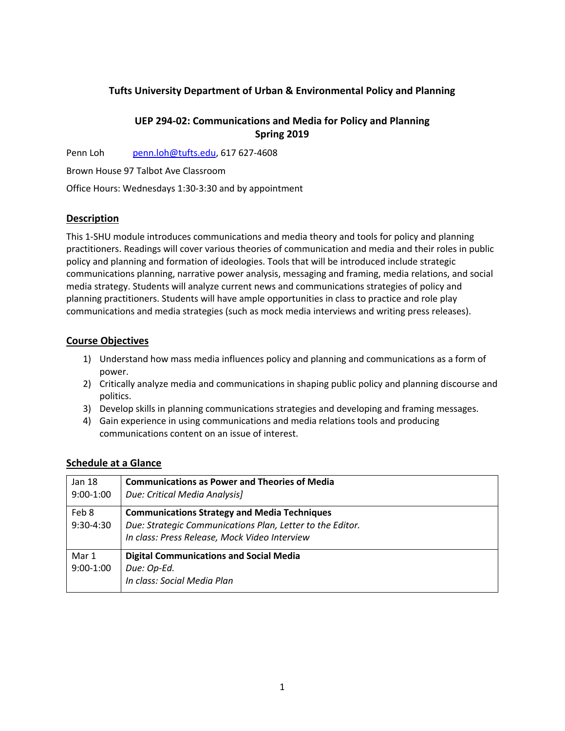## **Tufts University Department of Urban & Environmental Policy and Planning**

# **UEP 294-02: Communications and Media for Policy and Planning Spring 2019**

Penn Loh penn.loh@tufts.edu, 617 627-4608

Brown House 97 Talbot Ave Classroom

Office Hours: Wednesdays 1:30-3:30 and by appointment

## **Description**

This 1-SHU module introduces communications and media theory and tools for policy and planning practitioners. Readings will cover various theories of communication and media and their roles in public policy and planning and formation of ideologies. Tools that will be introduced include strategic communications planning, narrative power analysis, messaging and framing, media relations, and social media strategy. Students will analyze current news and communications strategies of policy and planning practitioners. Students will have ample opportunities in class to practice and role play communications and media strategies (such as mock media interviews and writing press releases).

## **Course Objectives**

- 1) Understand how mass media influences policy and planning and communications as a form of power.
- 2) Critically analyze media and communications in shaping public policy and planning discourse and politics.
- 3) Develop skills in planning communications strategies and developing and framing messages.
- 4) Gain experience in using communications and media relations tools and producing communications content on an issue of interest.

## **Schedule at a Glance**

| Jan 18      | <b>Communications as Power and Theories of Media</b>      |
|-------------|-----------------------------------------------------------|
| $9:00-1:00$ | Due: Critical Media Analysis]                             |
| Feb 8       | <b>Communications Strategy and Media Techniques</b>       |
| 9:30-4:30   | Due: Strategic Communications Plan, Letter to the Editor. |
|             | In class: Press Release, Mock Video Interview             |
| Mar 1       | <b>Digital Communications and Social Media</b>            |
| $9:00-1:00$ | Due: Op-Ed.                                               |
|             | In class: Social Media Plan                               |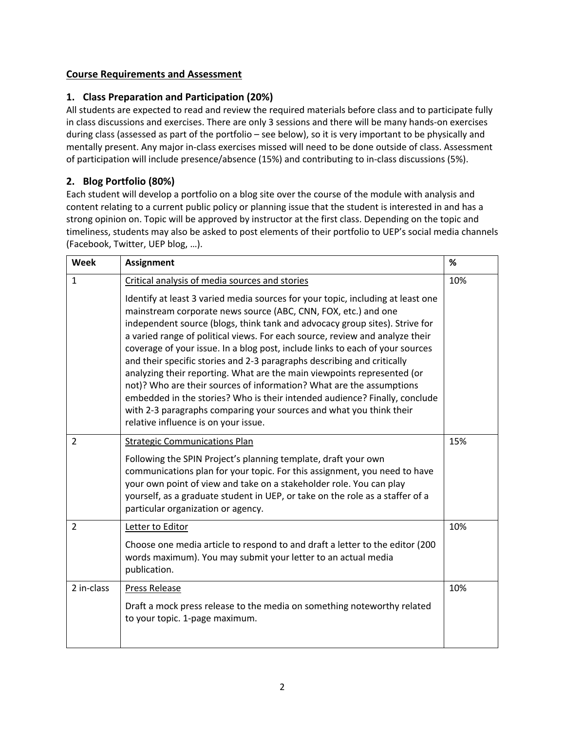# **Course Requirements and Assessment**

# **1. Class Preparation and Participation (20%)**

All students are expected to read and review the required materials before class and to participate fully in class discussions and exercises. There are only 3 sessions and there will be many hands-on exercises during class (assessed as part of the portfolio – see below), so it is very important to be physically and mentally present. Any major in-class exercises missed will need to be done outside of class. Assessment of participation will include presence/absence (15%) and contributing to in-class discussions (5%).

# **2. Blog Portfolio (80%)**

Each student will develop a portfolio on a blog site over the course of the module with analysis and content relating to a current public policy or planning issue that the student is interested in and has a strong opinion on. Topic will be approved by instructor at the first class. Depending on the topic and timeliness, students may also be asked to post elements of their portfolio to UEP's social media channels (Facebook, Twitter, UEP blog, …).

| Week           | <b>Assignment</b>                                                                                                                                                                                                                                                                                                                                                                                                                                                                                                                                                                                                                                                                                                                                                                                                            | $\%$ |
|----------------|------------------------------------------------------------------------------------------------------------------------------------------------------------------------------------------------------------------------------------------------------------------------------------------------------------------------------------------------------------------------------------------------------------------------------------------------------------------------------------------------------------------------------------------------------------------------------------------------------------------------------------------------------------------------------------------------------------------------------------------------------------------------------------------------------------------------------|------|
| $\mathbf{1}$   | Critical analysis of media sources and stories                                                                                                                                                                                                                                                                                                                                                                                                                                                                                                                                                                                                                                                                                                                                                                               | 10%  |
|                | Identify at least 3 varied media sources for your topic, including at least one<br>mainstream corporate news source (ABC, CNN, FOX, etc.) and one<br>independent source (blogs, think tank and advocacy group sites). Strive for<br>a varied range of political views. For each source, review and analyze their<br>coverage of your issue. In a blog post, include links to each of your sources<br>and their specific stories and 2-3 paragraphs describing and critically<br>analyzing their reporting. What are the main viewpoints represented (or<br>not)? Who are their sources of information? What are the assumptions<br>embedded in the stories? Who is their intended audience? Finally, conclude<br>with 2-3 paragraphs comparing your sources and what you think their<br>relative influence is on your issue. |      |
| $\overline{2}$ | <b>Strategic Communications Plan</b>                                                                                                                                                                                                                                                                                                                                                                                                                                                                                                                                                                                                                                                                                                                                                                                         | 15%  |
|                | Following the SPIN Project's planning template, draft your own<br>communications plan for your topic. For this assignment, you need to have<br>your own point of view and take on a stakeholder role. You can play<br>yourself, as a graduate student in UEP, or take on the role as a staffer of a<br>particular organization or agency.                                                                                                                                                                                                                                                                                                                                                                                                                                                                                    |      |
| $\overline{2}$ | Letter to Editor                                                                                                                                                                                                                                                                                                                                                                                                                                                                                                                                                                                                                                                                                                                                                                                                             | 10%  |
|                | Choose one media article to respond to and draft a letter to the editor (200<br>words maximum). You may submit your letter to an actual media<br>publication.                                                                                                                                                                                                                                                                                                                                                                                                                                                                                                                                                                                                                                                                |      |
| 2 in-class     | Press Release                                                                                                                                                                                                                                                                                                                                                                                                                                                                                                                                                                                                                                                                                                                                                                                                                | 10%  |
|                | Draft a mock press release to the media on something noteworthy related<br>to your topic. 1-page maximum.                                                                                                                                                                                                                                                                                                                                                                                                                                                                                                                                                                                                                                                                                                                    |      |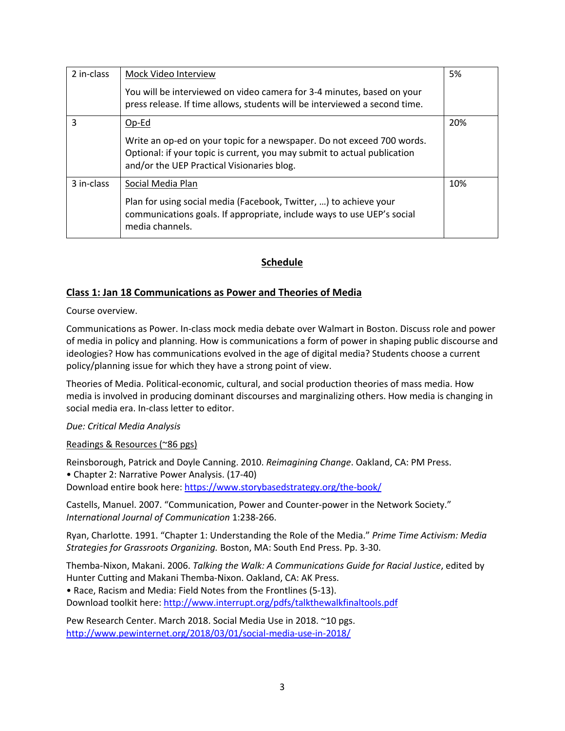| 2 in-class | Mock Video Interview                                                                                                                                                                             | 5%  |
|------------|--------------------------------------------------------------------------------------------------------------------------------------------------------------------------------------------------|-----|
|            | You will be interviewed on video camera for 3-4 minutes, based on your<br>press release. If time allows, students will be interviewed a second time.                                             |     |
| 3          | Op-Ed                                                                                                                                                                                            | 20% |
|            | Write an op-ed on your topic for a newspaper. Do not exceed 700 words.<br>Optional: if your topic is current, you may submit to actual publication<br>and/or the UEP Practical Visionaries blog. |     |
| 3 in-class | Social Media Plan                                                                                                                                                                                | 10% |
|            | Plan for using social media (Facebook, Twitter, ) to achieve your<br>communications goals. If appropriate, include ways to use UEP's social<br>media channels.                                   |     |

## **Schedule**

## **Class 1: Jan 18 Communications as Power and Theories of Media**

Course overview.

Communications as Power. In-class mock media debate over Walmart in Boston. Discuss role and power of media in policy and planning. How is communications a form of power in shaping public discourse and ideologies? How has communications evolved in the age of digital media? Students choose a current policy/planning issue for which they have a strong point of view.

Theories of Media. Political-economic, cultural, and social production theories of mass media. How media is involved in producing dominant discourses and marginalizing others. How media is changing in social media era. In-class letter to editor.

*Due: Critical Media Analysis*

Readings & Resources (~86 pgs)

Reinsborough, Patrick and Doyle Canning. 2010. *Reimagining Change*. Oakland, CA: PM Press. • Chapter 2: Narrative Power Analysis. (17-40)

Download entire book here: https://www.storybasedstrategy.org/the-book/

Castells, Manuel. 2007. "Communication, Power and Counter-power in the Network Society." *International Journal of Communication* 1:238-266.

Ryan, Charlotte. 1991. "Chapter 1: Understanding the Role of the Media." *Prime Time Activism: Media Strategies for Grassroots Organizing.* Boston, MA: South End Press. Pp. 3-30.

Themba-Nixon, Makani. 2006. *Talking the Walk: A Communications Guide for Racial Justice*, edited by Hunter Cutting and Makani Themba-Nixon. Oakland, CA: AK Press. • Race, Racism and Media: Field Notes from the Frontlines (5-13). Download toolkit here: http://www.interrupt.org/pdfs/talkthewalkfinaltools.pdf

Pew Research Center. March 2018. Social Media Use in 2018. ~10 pgs.

http://www.pewinternet.org/2018/03/01/social-media-use-in-2018/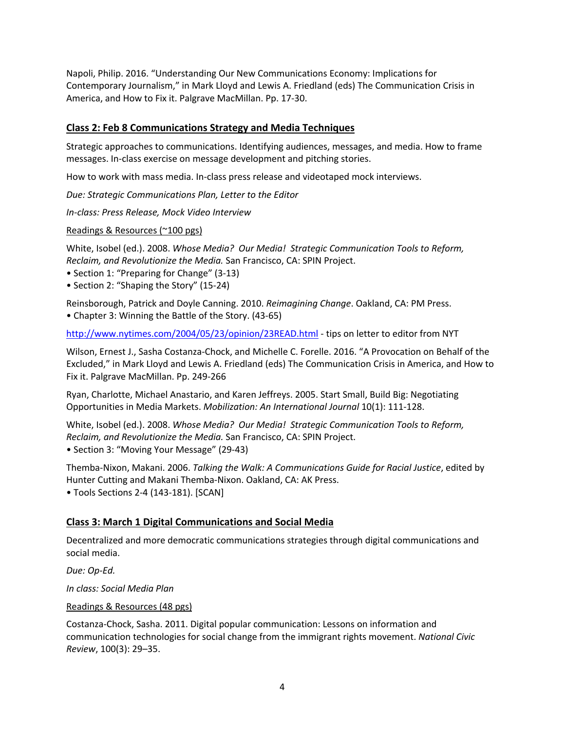Napoli, Philip. 2016. "Understanding Our New Communications Economy: Implications for Contemporary Journalism," in Mark Lloyd and Lewis A. Friedland (eds) The Communication Crisis in America, and How to Fix it. Palgrave MacMillan. Pp. 17-30.

#### **Class 2: Feb 8 Communications Strategy and Media Techniques**

Strategic approaches to communications. Identifying audiences, messages, and media. How to frame messages. In-class exercise on message development and pitching stories.

How to work with mass media. In-class press release and videotaped mock interviews.

*Due: Strategic Communications Plan, Letter to the Editor*

*In-class: Press Release, Mock Video Interview*

Readings & Resources (~100 pgs)

White, Isobel (ed.). 2008. *Whose Media? Our Media! Strategic Communication Tools to Reform, Reclaim, and Revolutionize the Media.* San Francisco, CA: SPIN Project.

- Section 1: "Preparing for Change" (3-13)
- Section 2: "Shaping the Story" (15-24)

Reinsborough, Patrick and Doyle Canning. 2010. *Reimagining Change*. Oakland, CA: PM Press. • Chapter 3: Winning the Battle of the Story. (43-65)

http://www.nytimes.com/2004/05/23/opinion/23READ.html - tips on letter to editor from NYT

Wilson, Ernest J., Sasha Costanza-Chock, and Michelle C. Forelle. 2016. "A Provocation on Behalf of the Excluded," in Mark Lloyd and Lewis A. Friedland (eds) The Communication Crisis in America, and How to Fix it. Palgrave MacMillan. Pp. 249-266

Ryan, Charlotte, Michael Anastario, and Karen Jeffreys. 2005. Start Small, Build Big: Negotiating Opportunities in Media Markets. *Mobilization: An International Journal* 10(1): 111-128.

White, Isobel (ed.). 2008. *Whose Media? Our Media! Strategic Communication Tools to Reform, Reclaim, and Revolutionize the Media.* San Francisco, CA: SPIN Project.

• Section 3: "Moving Your Message" (29-43)

Themba-Nixon, Makani. 2006. *Talking the Walk: A Communications Guide for Racial Justice*, edited by Hunter Cutting and Makani Themba-Nixon. Oakland, CA: AK Press.

• Tools Sections 2-4 (143-181). [SCAN]

#### **Class 3: March 1 Digital Communications and Social Media**

Decentralized and more democratic communications strategies through digital communications and social media.

*Due: Op-Ed.*

*In class: Social Media Plan*

Readings & Resources (48 pgs)

Costanza-Chock, Sasha. 2011. Digital popular communication: Lessons on information and communication technologies for social change from the immigrant rights movement. *National Civic Review*, 100(3): 29–35.